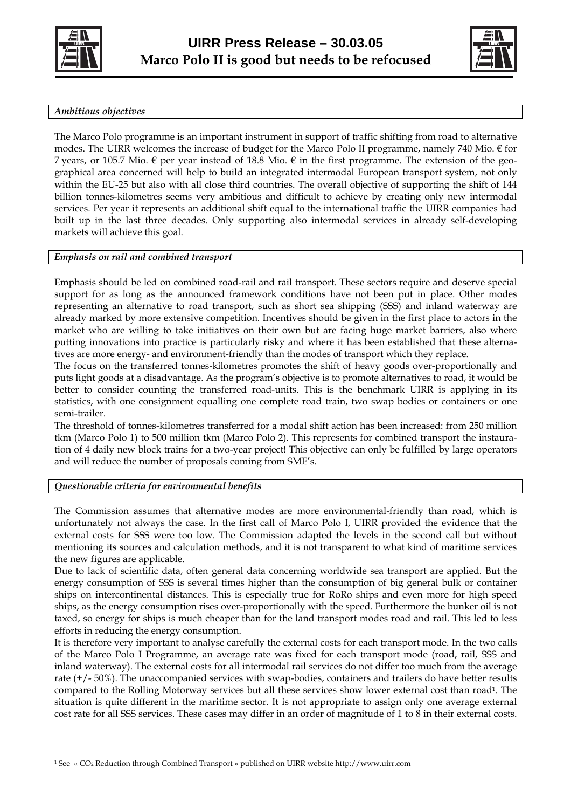



# *Ambitious objectives*

The Marco Polo programme is an important instrument in support of traffic shifting from road to alternative modes. The UIRR welcomes the increase of budget for the Marco Polo II programme, namely 740 Mio.  $\epsilon$  for 7 years, or 105.7 Mio.  $\epsilon$  per year instead of 18.8 Mio.  $\epsilon$  in the first programme. The extension of the geographical area concerned will help to build an integrated intermodal European transport system, not only within the EU-25 but also with all close third countries. The overall objective of supporting the shift of 144 billion tonnes-kilometres seems very ambitious and difficult to achieve by creating only new intermodal services. Per year it represents an additional shift equal to the international traffic the UIRR companies had built up in the last three decades. Only supporting also intermodal services in already self-developing markets will achieve this goal.

# *Emphasis on rail and combined transport*

Emphasis should be led on combined road-rail and rail transport. These sectors require and deserve special support for as long as the announced framework conditions have not been put in place. Other modes representing an alternative to road transport, such as short sea shipping (SSS) and inland waterway are already marked by more extensive competition. Incentives should be given in the first place to actors in the market who are willing to take initiatives on their own but are facing huge market barriers, also where putting innovations into practice is particularly risky and where it has been established that these alternatives are more energy- and environment-friendly than the modes of transport which they replace.

The focus on the transferred tonnes-kilometres promotes the shift of heavy goods over-proportionally and puts light goods at a disadvantage. As the program's objective is to promote alternatives to road, it would be better to consider counting the transferred road-units. This is the benchmark UIRR is applying in its statistics, with one consignment equalling one complete road train, two swap bodies or containers or one semi-trailer.

The threshold of tonnes-kilometres transferred for a modal shift action has been increased: from 250 million tkm (Marco Polo 1) to 500 million tkm (Marco Polo 2). This represents for combined transport the instauration of 4 daily new block trains for a two-year project! This objective can only be fulfilled by large operators and will reduce the number of proposals coming from SME's.

# *Questionable criteria for environmental benefits*

The Commission assumes that alternative modes are more environmental-friendly than road, which is unfortunately not always the case. In the first call of Marco Polo I, UIRR provided the evidence that the external costs for SSS were too low. The Commission adapted the levels in the second call but without mentioning its sources and calculation methods, and it is not transparent to what kind of maritime services the new figures are applicable.

Due to lack of scientific data, often general data concerning worldwide sea transport are applied. But the energy consumption of SSS is several times higher than the consumption of big general bulk or container ships on intercontinental distances. This is especially true for RoRo ships and even more for high speed ships, as the energy consumption rises over-proportionally with the speed. Furthermore the bunker oil is not taxed, so energy for ships is much cheaper than for the land transport modes road and rail. This led to less efforts in reducing the energy consumption.

It is therefore very important to analyse carefully the external costs for each transport mode. In the two calls of the Marco Polo I Programme, an average rate was fixed for each transport mode (road, rail, SSS and inland waterway). The external costs for all intermodal rail services do not differ too much from the average rate (+/- 50%). The unaccompanied services with swap-bodies, containers and trailers do have better results compared to the Rolling Motorway services but all these services show lower external cost than road<sup>1</sup>. The situation is quite different in the maritime sector. It is not appropriate to assign only one average external cost rate for all SSS services. These cases may differ in an order of magnitude of 1 to 8 in their external costs.

<span id="page-0-0"></span> $\overline{a}$ 1 See « CO2 Reduction through Combined Transport » published on UIRR website http://www.uirr.com